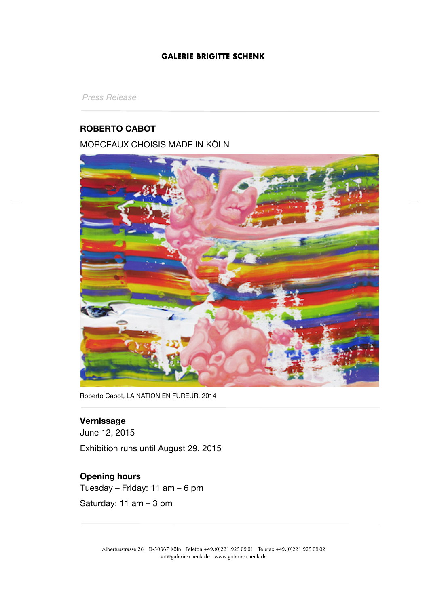## **GALERIE BRIGITTE SCHENK**

*Press Release*

## **ROBERTO CABOT**

# MORCEAUX CHOISIS MADE IN KÖLN



Roberto Cabot, LA NATION EN FUREUR, 2014

# **Vernissage**

June 12, 2015 Exhibition runs until August 29, 2015

# **Opening hours**

Tuesday – Friday: 11 am – 6 pm

Saturday: 11 am – 3 pm